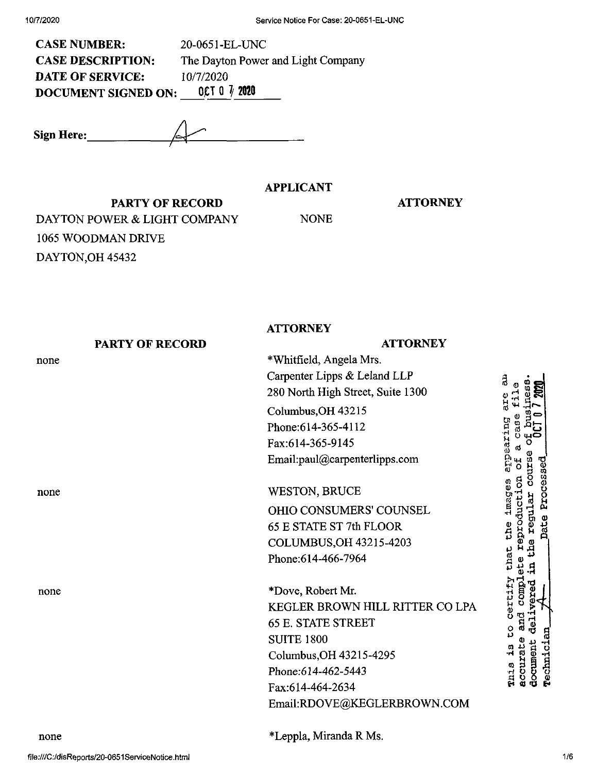| <b>CASE NUMBER:</b>        | 20-0651-EL-UNC                     |
|----------------------------|------------------------------------|
| <b>CASE DESCRIPTION:</b>   | The Dayton Power and Light Company |
| <b>DATE OF SERVICE:</b>    | 10/7/2020                          |
| <b>DOCUMENT SIGNED ON:</b> | OCT 0 $\frac{7}{2020}$             |

**Sign Here:\_**

## **APPLICANT**

#### **ATTORNEY**

**PARTY OF RECORD** DAYTON POWER & LIGHT COMPANY 1065 WOODMAN DRIVE DAYTON,OH 45432

NONE

|      |                 | <b>ATTORNEY</b>                   |
|------|-----------------|-----------------------------------|
|      | PARTY OF RECORD | <b>ATTORNEY</b>                   |
| none |                 | *Whitfield, Angela Mrs.           |
|      |                 | Carpenter Lipps & Leland LLP      |
|      |                 | 280 North High Street, Suite 1300 |
|      |                 | Columbus, OH 43215                |
|      |                 | Phone: 614-365-4112               |
|      |                 | Fax:614-365-9145                  |
|      |                 | Email:paul@carpenterlipps.com     |
| none |                 | <b>WESTON, BRUCE</b>              |
|      |                 | OHIO CONSUMERS' COUNSEL           |
|      |                 | 65 E STATE ST 7th FLOOR           |
|      |                 | COLUMBUS, OH 43215-4203           |
|      |                 | Phone: 614-466-7964               |
| none |                 | *Dove, Robert Mr.                 |
|      |                 | KEGLER BROWN HILL RITTER CO LPA   |
|      |                 | <b>65 E. STATE STREET</b>         |
|      |                 | <b>SUITE 1800</b>                 |
|      |                 | Columbus, OH 43215-4295           |
|      |                 | Phone:614-462-5443                |
|      |                 | Fax:614-464-2634                  |
|      |                 | Email:RDOVE@KEGLERBROWN.COM       |

none

\*Leppla, Miranda R Ms.

Technician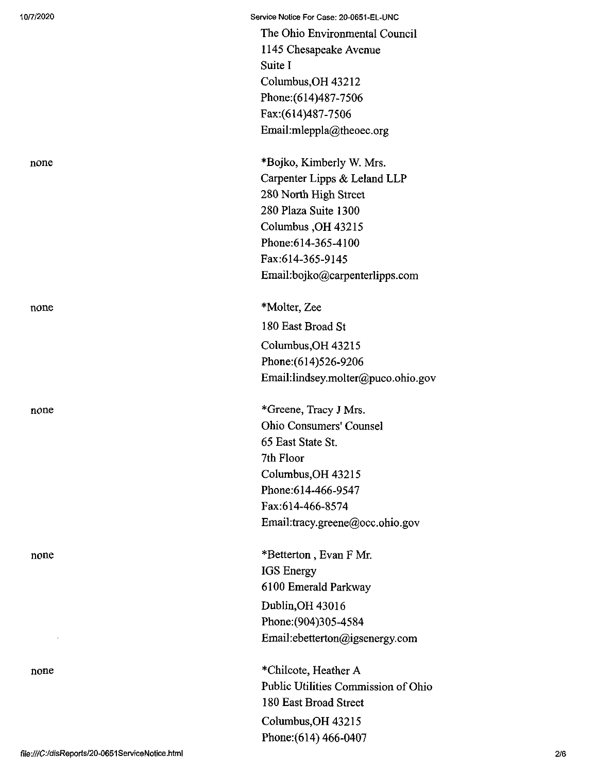10/7/2020 Service Notice For Case: 20-0651-EL-UNC

The Ohio Environmental Council 1145 Chesapeake Avenue Suite I Columbus,OH 43212 Phone:(614)487-7506 Fax:(614)487-7506 Email:mleppla@theoec.org

none \*Bojko, Kimberly W. Mrs. Carpenter Lipps & Leland LLP 280 North High Street 280 Plaza Suite 1300 Columbus ,OH 43215 Phone:614-365-4100 Fax:614-365-9145 Email:bojko@carpenterlipps.com

none \*Molter, Zee 180 East Broad St Columbus,OH 43215 Phone:(614)526-9206 Email:lindsey.molter@puco.ohio.gov

none \*Greene, Tracy J Mrs. Ohio Consumers' Counsel 65 East State St. 7th Floor Columbus,OH 43215 Phone:614-466-9547 Fax:614-466-8574 Email:tracy.greene@occ.ohio.gov

none \*Betterton, Evan F Mr. IGS Energy 6100 Emerald Parkway Dublin,OH 43016 Phone:(904)305-4584 Email:ebetterton@igsenergy.com

none \*Chilcote, Heather A Public Utilities Commission of Ohio 180 East Broad Street Columbus,OH 43215 Phone:(614) 466-0407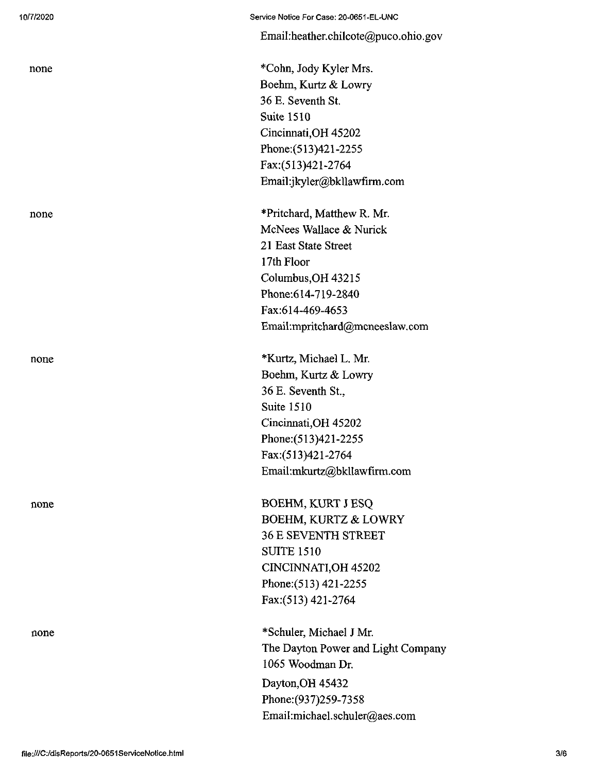|      | Email:heather.chilcote@puco.ohio.gov |
|------|--------------------------------------|
| none | *Cohn, Jody Kyler Mrs.               |
|      | Boehm, Kurtz & Lowry                 |
|      | 36 E. Seventh St.                    |
|      | <b>Suite 1510</b>                    |
|      | Cincinnati, OH 45202                 |
|      | Phone: (513)421-2255                 |
|      | Fax:(513)421-2764                    |
|      | Email:jkyler@bkllawfirm.com          |
| none | *Pritchard, Matthew R. Mr.           |
|      | McNees Wallace & Nurick              |
|      | 21 East State Street                 |
|      | 17th Floor                           |
|      | Columbus, OH 43215                   |
|      | Phone: 614-719-2840                  |
|      | Fax:614-469-4653                     |
|      | Email:mpritchard@mcneeslaw.com       |
| none | *Kurtz, Michael L. Mr.               |
|      | Boehm, Kurtz & Lowry                 |
|      | 36 E. Seventh St.,                   |
|      | <b>Suite 1510</b>                    |
|      | Cincinnati, OH 45202                 |
|      | Phone: (513)421-2255                 |
|      | Fax:(513)421-2764                    |
|      | Email:mkurtz@bkllawfirm.com          |
| none | <b>BOEHM, KURT J ESQ</b>             |
|      | <b>BOEHM, KURTZ &amp; LOWRY</b>      |
|      | <b>36 E SEVENTH STREET</b>           |
|      | <b>SUITE 1510</b>                    |
|      | CINCINNATI, OH 45202                 |
|      | Phone: (513) 421-2255                |
|      | Fax: (513) 421-2764                  |
| none | *Schuler, Michael J Mr.              |
|      | The Dayton Power and Light Company   |
|      | 1065 Woodman Dr.                     |
|      | Dayton, OH 45432                     |
|      | Phone: (937) 259-7358                |
|      | Email:michael.schuler@aes.com        |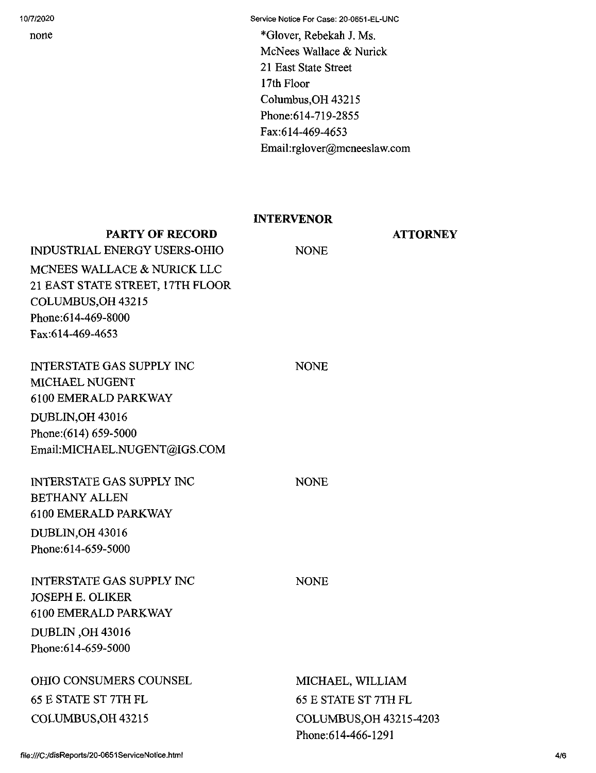none

Service Notice For Case: 20-0651-EL-UNC

\*Glover, Rebekah J. Ms. McNees Wallace & Nurick 21 East State Street 17th Floor Columbus,OH 43215 Phone:614-719-2855 Fax:614-469-4653 Email:rglover@mcneeslaw.com

## INTERVENOR

NONE

NONE

**ATTORNEY** 

## **PARTY OF RECORD**

INDUSTRIAL ENERGY USERS-OHIO MCNEES WALLACE & NURICK LLC 21 EAST STATE STREET, 17TH FLOOR COLUMBUS,OH 43215 Phone:614-469-8000 Fax:614-469-4653

INTERSTATE GAS SUPPLY INC MICHAEL NUGENT 6100 EMERALD PARKWAY DUBLIN,OH 43016 Phone:(614) 659-5000 Email:MICHAEL.NUGENT@IGS.COM

INTERSTATE GAS SUPPLY INC BETHANY ALLEN 6100 EMERALD PARKWAY DUBLIN,OH 43016 Phone:614-659-5000

INTERSTATE GAS SUPPLY INC JOSEPH E. OLIKER 6100 EMERALD PARKWAY DUBLIN ,OH 43016 Phone:614-659-5000

# OHIO CONSUMERS COUNSEL 65 E STATE ST 7TH FL COLUMBUS,OH 43215

NONE

NONE

MICHAEL, WILLIAM 65 E STATE ST 7TH FL COLUMBUS,OH 43215-4203 Phone:614-466-1291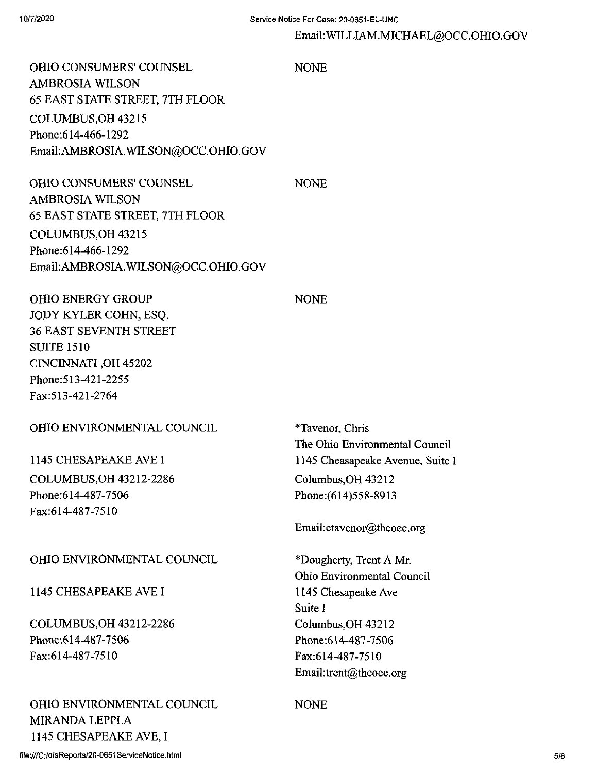#### EmaiI:WILLIAM.MICHAEL@OCC.OHIO.GOV

OHIO CONSUMERS' COUNSEL NONE AMBROSIA WILSON 65 EAST STATE STREET, 7TH FLOOR COLUMBUS,OH 43215 Phone:614-466-1292 Email:AMBROSIA.WILSON@OCC.OHIO.GOV

OHIO CONSUMERS' COUNSEL NONE AMBROSIA WILSON 65 EAST STATE STREET, 7TH FLOOR COLUMBUS,OH 43215 Phone:614-466-1292 Email:AMBROSIA.WILSON@OCC.OHIO.GOV

OHIO ENERGY GROUP NONE JOPY KYLER COHN, ESQ. 36 EAST SEVENTH STREET SUITE 1510 CINCINNATI ,OH 45202 Phone:513-421-2255 Fax:513-421-2764

OHIO ENVIRONMENTAL COUNCIL

1145 CHESAPEAKE AVEI COLUMBUS,OH 43212-2286 Phone:614-487-7506 Fax:614-487-7510

#### OHIO ENVIRONMENTAL COUNCIL

1145 CHESAPEAKE AVE I

COLUMBUS,OH 43212-2286 Phone:614-487-7506 Fax:614-487-7510

OHIO ENVIRONMENTAL COUNCIL MIRANDA LEPPLA 1145 CHESAPEAKE AVE, I

\*Tavenor, Chris The Ohio Environmental Council 1145 Cheasapeake Avenue, Suite I CoIumbus,OH 43212 Phone:(614)558-8913

Email:ctavenor@theoec.org

\*Dougherty, Trent A Mr. Ohio Environmental Council 1145 Chesapeake Ave Suite I Columbus,OH 43212 Phone:614-487-7506 Fax:614-487-7510 Email:trent@theoec.org

NONE